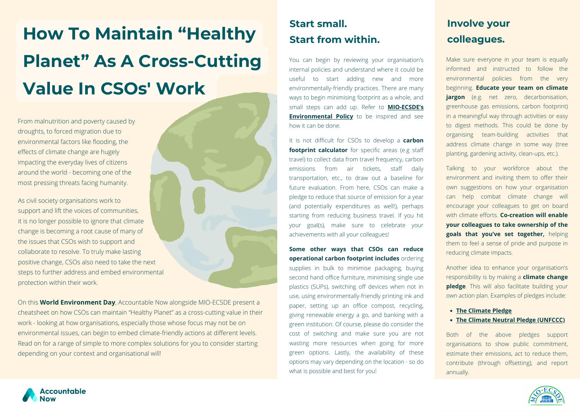**How To Maintain "Healthy Planet" As A Cross-Cutting Value In CSOs' Work**

From malnutrition and poverty caused by droughts, to forced migration due to environmental factors like flooding, the effects of climate change are hugely impacting the everyday lives of citizens around the world - becoming one of the most pressing threats facing humanity.

On this **World Environment Day**, Accountable Now alongside MIO-ECSDE present a cheatsheet on how CSOs can maintain "Healthy Planet" as a cross-cutting value in their work - looking at how organisations, especially those whose focus may not be on environmental issues, can begin to embed climate-friendly actions at different levels. Read on for a range of simple to more complex solutions for you to consider starting depending on your context and organisational will!

As civil society organisations work to support and lift the voices of communities, it is no longer possible to ignore that climate change is becoming a root cause of many of the issues that CSOs wish to support and collaborate to resolve. To truly make lasting positive change, CSOs also need to take the next steps to further address and embed environmental protection within their work.

- **The [Climate](https://www.theclimatepledge.com/) Pledge**
- **The Climate Neutral Pledge [\(UNFCCC\)](https://unfccc.int/climate-action/climate-neutral-now/take-the-pledge)**

Make sure everyone in your team is equally informed and instructed to follow the environmental policies from the very beginning. **Educate your team on climate jargon** (e.g. net zero, decarbonisation, greenhouse gas emissions, carbon footprint) in a meaningful way through activities or easy to digest methods. This could be done by organising team-building activities that address climate change in some way (tree planting, gardening activity, clean-ups, etc.).

Talking to your workforce about the environment and inviting them to offer their own suggestions on how your organisation can help combat climate change will encourage your colleagues to get on board with climate efforts. **Co-creation will enable your colleagues to take ownership of the goals that you've set together,** helping them to feel a sense of pride and purpose in reducing climate impacts.

Another idea to enhance your organisation's responsibility is by making a **climate change pledge**. This will also facilitate building your own action plan. Examples of pledges include:

Both of the above pledges support organisations to show public commitment, estimate their emissions, act to reduce them, contribute (through offsetting), and report annually.



You can begin by reviewing your organisation's internal policies and understand where it could be useful to start adding new and more environmentally-friendly practices. There are many ways to begin minimising footprint as a whole, and small steps can add up. Refer to **MIO-ECSDE's [Environmental](https://mio-ecsde.org/wp-content/uploads/2021/02/The-MIO-ECSDE-Environmental-Policy_2020.pdf) Policy** to be inspired and see how it can be done.

It is not difficult for CSOs to develop a **carbon footprint calculator** for specific areas (e.g staff travel) to collect data from travel frequency, carbon emissions from air tickets, staff daily transportation, etc., to draw out a baseline for future evaluation. From here, CSOs can make a pledge to reduce that source of emission for a year (and potentially expenditures as well!), perhaps starting from reducing business travel. If you hit your goal(s), make sure to celebrate your achievements with all your colleagues!

**Some other ways that CSOs can reduce operational carbon footprint includes** ordering supplies in bulk to minimise packaging, buying second hand office furniture, minimising single use plastics (SUPs), switching off devices when not in use, using environmentally-friendly printing ink and paper, setting up an office compost, recycling, giving renewable energy a go, and banking with a green institution. Of course, please do consider the cost of switching and make sure you are not wasting more resources when going for more green options. Lastly, the availability of these options may vary depending on the location - so do what is possible and best for you!



#### **Start small. Start from within.**

# **Involve your colleagues.**